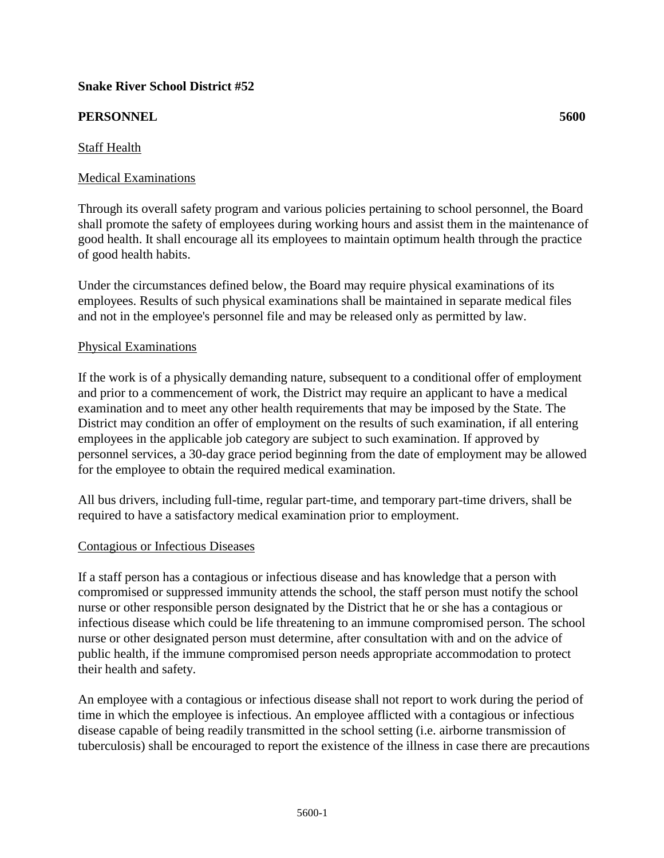## **Snake River School District #52**

# **PERSONNEL 5600**

# Staff Health

## Medical Examinations

Through its overall safety program and various policies pertaining to school personnel, the Board shall promote the safety of employees during working hours and assist them in the maintenance of good health. It shall encourage all its employees to maintain optimum health through the practice of good health habits.

Under the circumstances defined below, the Board may require physical examinations of its employees. Results of such physical examinations shall be maintained in separate medical files and not in the employee's personnel file and may be released only as permitted by law.

## Physical Examinations

If the work is of a physically demanding nature, subsequent to a conditional offer of employment and prior to a commencement of work, the District may require an applicant to have a medical examination and to meet any other health requirements that may be imposed by the State. The District may condition an offer of employment on the results of such examination, if all entering employees in the applicable job category are subject to such examination. If approved by personnel services, a 30-day grace period beginning from the date of employment may be allowed for the employee to obtain the required medical examination.

All bus drivers, including full-time, regular part-time, and temporary part-time drivers, shall be required to have a satisfactory medical examination prior to employment.

#### Contagious or Infectious Diseases

If a staff person has a contagious or infectious disease and has knowledge that a person with compromised or suppressed immunity attends the school, the staff person must notify the school nurse or other responsible person designated by the District that he or she has a contagious or infectious disease which could be life threatening to an immune compromised person. The school nurse or other designated person must determine, after consultation with and on the advice of public health, if the immune compromised person needs appropriate accommodation to protect their health and safety.

An employee with a contagious or infectious disease shall not report to work during the period of time in which the employee is infectious. An employee afflicted with a contagious or infectious disease capable of being readily transmitted in the school setting (i.e. airborne transmission of tuberculosis) shall be encouraged to report the existence of the illness in case there are precautions